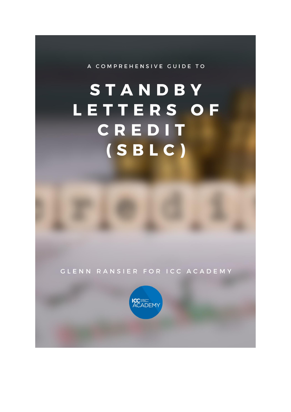A COMPREHENSIVE GUIDE TO

# STANDBY LETTERS OF CREDIT  $(SBLC)$

**CLENN RANSIER FOR ICC ACADEMY** 

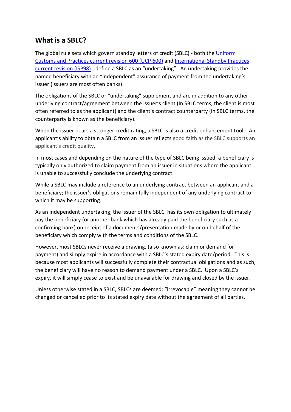## **What is a SBLC?**

The global rule sets which govern standby letters of credit (SBLC) - both the [Uniform](https://icc.academy/ucp-600/?utm_source=Blog&utm_medium=PDF&utm_campaign=SBLC%20guide)  [Customs and Practices current revision 600 \(UCP](https://icc.academy/ucp-600/?utm_source=Blog&utm_medium=PDF&utm_campaign=SBLC%20guide) 600) and [International Standby Practices](https://icc.academy/isp98/?utm_source=Blog&utm_medium=PDF&utm_campaign=SBLC%20guide)  [current revision \(ISP98\)](https://icc.academy/isp98/?utm_source=Blog&utm_medium=PDF&utm_campaign=SBLC%20guide) - define a SBLC as an "undertaking". An undertaking provides the named beneficiary with an "independent" assurance of payment from the undertaking's issuer (issuers are most often banks).

The obligations of the SBLC or "undertaking" supplement and are in addition to any other underlying contract/agreement between the issuer's client (In SBLC terms, the client is most often referred to as the applicant) and the client's contract counterparty (In SBLC terms, the counterparty is known as the beneficiary).

When the issuer bears a stronger credit rating, a SBLC is also a credit enhancement tool. An applicant's ability to obtain a SBLC from an issuer reflects good faith as the SBLC supports an applicant's credit quality.

In most cases and depending on the nature of the type of SBLC being issued, a beneficiary is typically only authorized to claim payment from an issuer in situations where the applicant is unable to successfully conclude the underlying contract.

While a SBLC may include a reference to an underlying contract between an applicant and a beneficiary; the issuer's obligations remain fully independent of any underlying contract to which it may be supporting.

As an independent undertaking, the issuer of the SBLC has its own obligation to ultimately pay the beneficiary (or another bank which has already paid the beneficiary such as a confirming bank) on receipt of a documents/presentation made by or on behalf of the beneficiary which comply with the terms and conditions of the SBLC.

However, most SBLCs never receive a drawing, (also known as: claim or demand for payment) and simply expire in accordance with a SBLC's stated expiry date/period. This is because most applicants will successfully complete their contractual obligations and as such, the beneficiary will have no reason to demand payment under a SBLC. Upon a SBLC's expiry, it will simply cease to exist and be unavailable for drawing and closed by the issuer.

Unless otherwise stated in a SBLC, SBLCs are deemed: "irrevocable" meaning they cannot be changed or cancelled prior to its stated expiry date without the agreement of all parties.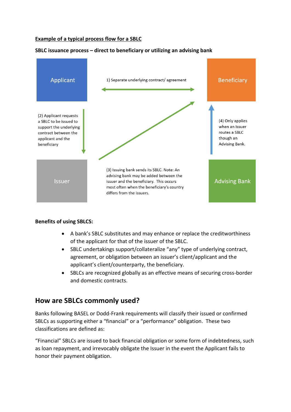#### **Example of a typical process flow for a SBLC**

#### **SBLC issuance process – direct to beneficiary or utilizing an advising bank**



#### **Benefits of using SBLCS:**

- A bank's SBLC substitutes and may enhance or replace the creditworthiness of the applicant for that of the issuer of the SBLC.
- SBLC undertakings support/collateralize "any" type of underlying contract, agreement, or obligation between an issuer's client/applicant and the applicant's client/counterparty, the beneficiary.
- SBLCs are recognized globally as an effective means of securing cross-border and domestic contracts.

## **How are SBLCs commonly used?**

Banks following BASEL or Dodd-Frank requirements will classify their issued or confirmed SBLCs as supporting either a "financial" or a "performance" obligation. These two classifications are defined as:

"Financial" SBLCs are issued to back financial obligation or some form of indebtedness, such as loan repayment, and irrevocably obligate the Issuer in the event the Applicant fails to honor their payment obligation.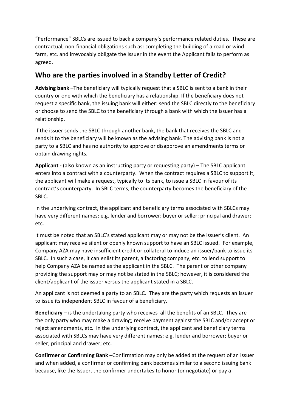"Performance" SBLCs are issued to back a company's performance related duties. These are contractual, non-financial obligations such as: completing the building of a road or wind farm, etc. and irrevocably obligate the Issuer in the event the Applicant fails to perform as agreed.

## **Who are the parties involved in a Standby Letter of Credit?**

**Advising bank** –The beneficiary will typically request that a SBLC is sent to a bank in their country or one with which the beneficiary has a relationship. If the beneficiary does not request a specific bank, the issuing bank will either: send the SBLC directly to the beneficiary or choose to send the SBLC to the beneficiary through a bank with which the issuer has a relationship.

If the issuer sends the SBLC through another bank, the bank that receives the SBLC and sends it to the beneficiary will be known as the advising bank. The advising bank is not a party to a SBLC and has no authority to approve or disapprove an amendments terms or obtain drawing rights.

**Applicant -** (also known as an instructing party or requesting party) – The SBLC applicant enters into a contract with a counterparty. When the contract requires a SBLC to support it, the applicant will make a request, typically to its bank, to issue a SBLC in favour of its contract's counterparty. In SBLC terms, the counterparty becomes the beneficiary of the SBLC.

In the underlying contract, the applicant and beneficiary terms associated with SBLCs may have very different names: e.g. lender and borrower; buyer or seller; principal and drawer; etc.

It must be noted that an SBLC's stated applicant may or may not be the issuer's client. An applicant may receive silent or openly known support to have an SBLC issued. For example, Company AZA may have insufficient credit or collateral to induce an issuer/bank to issue its SBLC. In such a case, it can enlist its parent, a factoring company, etc. to lend support to help Company AZA be named as the applicant in the SBLC. The parent or other company providing the support may or may not be stated in the SBLC; however, it is considered the client/applicant of the issuer versus the applicant stated in a SBLC.

An applicant is not deemed a party to an SBLC. They are the party which requests an issuer to issue its independent SBLC in favour of a beneficiary.

**Beneficiary** – is the undertaking party who receives all the benefits of an SBLC. They are the only party who may make a drawing; receive payment against the SBLC and/or accept or reject amendments, etc. In the underlying contract, the applicant and beneficiary terms associated with SBLCs may have very different names: e.g. lender and borrower; buyer or seller; principal and drawer; etc.

**Confirmer or Confirming Bank** –Confirmation may only be added at the request of an issuer and when added, a confirmer or confirming bank becomes similar to a second issuing bank because, like the Issuer, the confirmer undertakes to honor (or negotiate) or pay a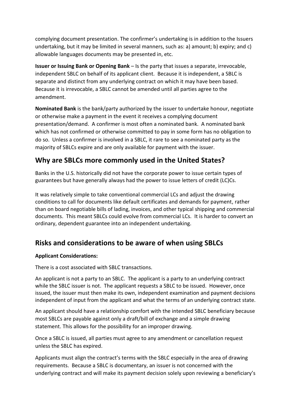complying document presentation. The confirmer's undertaking is in addition to the Issuers undertaking, but it may be limited in several manners, such as: a) amount; b) expiry; and c) allowable languages documents may be presented in, etc.

**Issuer or Issuing Bank or Opening Bank** – Is the party that issues a separate, irrevocable, independent SBLC on behalf of its applicant client. Because it is independent, a SBLC is separate and distinct from any underlying contract on which it may have been based. Because it is irrevocable, a SBLC cannot be amended until all parties agree to the amendment.

**Nominated Bank** is the bank/party authorized by the issuer to undertake honour, negotiate or otherwise make a payment in the event it receives a complying document presentation/demand. A confirmer is most often a nominated bank. A nominated bank which has not confirmed or otherwise committed to pay in some form has no obligation to do so. Unless a confirmer is involved in a SBLC, it rare to see a nominated party as the majority of SBLCs expire and are only available for payment with the issuer.

# **Why are SBLCs more commonly used in the United States?**

Banks in the U.S. historically did not have the corporate power to issue certain types of guarantees but have generally always had the power to issue letters of credit (LC)Cs.

It was relatively simple to take conventional commercial LCs and adjust the drawing conditions to call for documents like default certificates and demands for payment, rather than on board negotiable bills of lading, invoices, and other typical shipping and commercial documents. This meant SBLCs could evolve from commercial LCs. It is harder to convert an ordinary, dependent guarantee into an independent undertaking.

## **Risks and considerations to be aware of when using SBLCs**

## **Applicant Considerations:**

There is a cost associated with SBLC transactions.

An applicant is not a party to an SBLC. The applicant is a party to an underlying contract while the SBLC issuer is not. The applicant requests a SBLC to be issued. However, once issued, the issuer must then make its own, independent examination and payment decisions independent of input from the applicant and what the terms of an underlying contract state.

An applicant should have a relationship comfort with the intended SBLC beneficiary because most SBLCs are payable against only a draft/bill of exchange and a simple drawing statement. This allows for the possibility for an improper drawing.

Once a SBLC is issued, all parties must agree to any amendment or cancellation request unless the SBLC has expired.

Applicants must align the contract's terms with the SBLC especially in the area of drawing requirements. Because a SBLC is documentary, an issuer is not concerned with the underlying contract and will make its payment decision solely upon reviewing a beneficiary's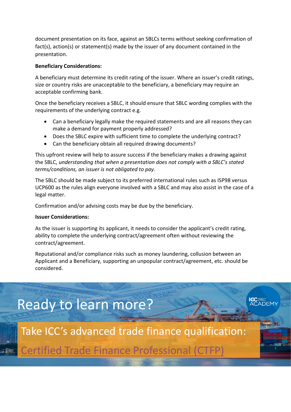document presentation on its face, against an SBLCs terms without seeking confirmation of fact(s), action(s) or statement(s) made by the issuer of any document contained in the presentation.

#### **Beneficiary Considerations:**

A beneficiary must determine its credit rating of the issuer. Where an issuer's credit ratings, size or country risks are unacceptable to the beneficiary, a beneficiary may require an acceptable confirming bank.

Once the beneficiary receives a SBLC, it should ensure that SBLC wording complies with the requirements of the underlying contract e.g.

- Can a beneficiary legally make the required statements and are all reasons they can make a demand for payment properly addressed?
- Does the SBLC expire with sufficient time to complete the underlying contract?
- Can the beneficiary obtain all required drawing documents?

This upfront review will help to assure success if the beneficiary makes a drawing against the SBLC, *understanding that when a presentation does not comply with a SBLC's stated terms/conditions, an issuer is not obligated to pay*.

The SBLC should be made subject to its preferred international rules such as ISP98 versus UCP600 as the rules align everyone involved with a SBLC and may also assist in the case of a legal matter.

Confirmation and/or advising costs may be due by the beneficiary.

#### **Issuer Considerations:**

As the issuer is supporting its applicant, it needs to consider the applicant's credit rating, ability to complete the underlying contract/agreement often without reviewing the contract/agreement.

Reputational and/or compliance risks such as money laundering, collusion between an Applicant and a Beneficiary, supporting an unpopular contract/agreement, etc. should be considered.

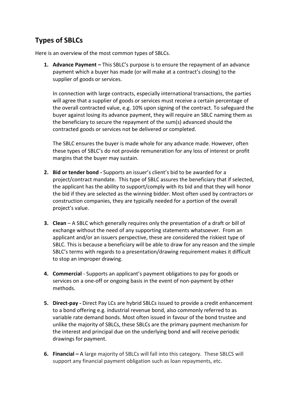# **Types of SBLCs**

Here is an overview of the most common types of SBLCs.

**1. Advance Payment –** This SBLC's purpose is to ensure the repayment of an advance payment which a buyer has made (or will make at a contract's closing) to the supplier of goods or services.

In connection with large contracts, especially international transactions, the parties will agree that a supplier of goods or services must receive a certain percentage of the overall contracted value, e.g. 10% upon signing of the contract. To safeguard the buyer against losing its advance payment, they will require an SBLC naming them as the beneficiary to secure the repayment of the sum(s) advanced should the contracted goods or services not be delivered or completed.

The SBLC ensures the buyer is made whole for any advance made. However, often these types of SBLC's do not provide remuneration for any loss of interest or profit margins that the buyer may sustain.

- **2. Bid or tender bond -** Supports an issuer's client's bid to be awarded for a project/contract mandate. This type of SBLC assures the beneficiary that if selected, the applicant has the ability to support/comply with its bid and that they will honor the bid if they are selected as the winning bidder. Most often used by contractors or construction companies, they are typically needed for a portion of the overall project's value.
- **3. Clean** A SBLC which generally requires only the presentation of a draft or bill of exchange without the need of any supporting statements whatsoever. From an applicant and/or an issuers perspective, these are considered the riskiest type of SBLC. This is because a beneficiary will be able to draw for any reason and the simple SBLC's terms with regards to a presentation/drawing requirement makes it difficult to stop an improper drawing.
- **4. Commercial**  Supports an applicant's payment obligations to pay for goods or services on a one-off or ongoing basis in the event of non-payment by other methods.
- **5. Direct-pay -** Direct Pay LCs are hybrid SBLCs issued to provide a credit enhancement to a bond offering e.g. industrial revenue bond, also commonly referred to as variable rate demand bonds. Most often issued in favour of the bond trustee and unlike the majority of SBLCs, these SBLCs are the primary payment mechanism for the interest and principal due on the underlying bond and will receive periodic drawings for payment.
- **6. Financial –** A large majority of SBLCs will fall into this category. These SBLCS will support any financial payment obligation such as loan repayments, etc.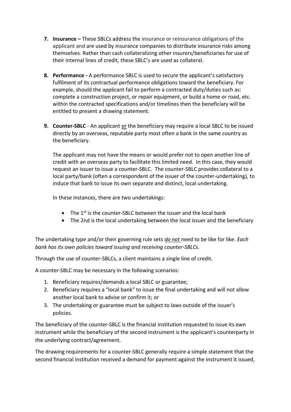- **7. Insurance –** These SBLCs address the insurance or reinsurance obligations of the applicant and are used by insurance companies to distribute insurance risks among themselves. Rather than cash collateralizing other insurers/beneficiaries for use of their internal lines of credit, these SBLC's are used as collateral.
- **8. Performance -** A performance SBLC is used to secure the applicant's satisfactory fulfilment of its contractual performance obligations toward the beneficiary. For example, should the applicant fail to perform a contracted duty/duties such as: complete a construction project, or repair equipment, or build a home or road, etc. within the contracted specifications and/or timelines then the beneficiary will be entitled to present a drawing statement.
- **9. Counter-SBLC** An applicant or the beneficiary may require a local SBLC to be issued directly by an overseas, reputable party most often a bank in the same country as the beneficiary.

The applicant may not have the means or would prefer not to open another line of credit with an overseas party to facilitate this limited need. In this case, they would request an issuer to issue a counter-SBLC. The counter-SBLC provides collateral to a local party/bank (often a correspondent of the issuer of the counter-undertaking), to induce that bank to issue its own separate and distinct, local undertaking.

In these instances, there are two undertakings:

- The  $1^{st}$  is the counter-SBLC between the issuer and the local bank
- The 2nd is the local undertaking between the local issuer and the beneficiary

The undertaking type and/or their governing rule sets *do not* need to be like for like. *Each bank has its own policies toward issuing and receiving counter-SBLCs.*

Through the use of counter-SBLCs, a client maintains a single line of credit.

A counter-SBLC may be necessary in the following scenarios:

- 1. Beneficiary requires/demands a local SBLC or guarantee;
- 2. Beneficiary requires a "local bank" to issue the final undertaking and will not allow another local bank to advise or confirm it; or
- 3. The undertaking or guarantee must be subject to laws outside of the issuer's policies.

The beneficiary of the counter-SBLC is the financial institution requested to issue its own instrument while the beneficiary of the second instrument is the applicant's counterparty in the underlying contract/agreement.

The drawing requirements for a counter-SBLC generally require a simple statement that the second financial institution received a demand for payment against the instrument it issued,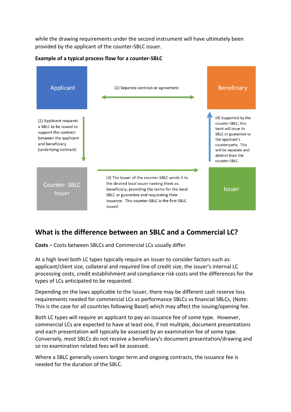while the drawing requirements under the second instrument will have ultimately been provided by the applicant of the counter-SBLC issuer.



**Example of a typical process flow for a counter-SBLC**

# **What is the difference between an SBLC and a Commercial LC?**

**Costs** – Costs between SBLCs and Commercial LCs usually differ.

At a high level both LC types typically require an issuer to consider factors such as: applicant/client size, collateral and required line of credit size, the issuer's internal LC processing costs, credit establishment and compliance risk costs and the differences for the types of LCs anticipated to be requested.

Depending on the laws applicable to the Issuer, there may be different cash reserve loss requirements needed for commercial LCs vs performance SBLCs vs financial SBLCs, (Note: This is the case for all countries following Basel) which may affect the issuing/opening fee.

Both LC types will require an applicant to pay an issuance fee of some type. However, commercial LCs are expected to have at least one, if not multiple, document presentations and each presentation will typically be assessed by an examination fee of some type. Conversely, most SBLCs do not receive a beneficiary's document presentation/drawing and so no examination related fees will be assessed.

Where a SBLC generally covers longer term and ongoing contracts, the issuance fee is needed for the duration of the SBLC.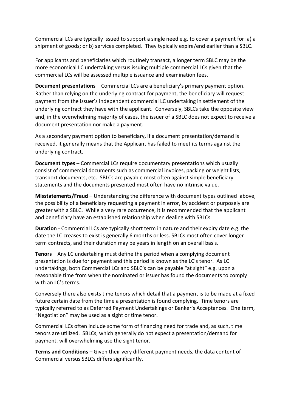Commercial LCs are typically issued to support a single need e.g. to cover a payment for: a) a shipment of goods; or b) services completed. They typically expire/end earlier than a SBLC.

For applicants and beneficiaries which routinely transact, a longer term SBLC may be the more economical LC undertaking versus issuing multiple commercial LCs given that the commercial LCs will be assessed multiple issuance and examination fees.

**Document presentations** – Commercial LCs are a beneficiary's primary payment option. Rather than relying on the underlying contract for payment, the beneficiary will request payment from the issuer's independent commercial LC undertaking in settlement of the underlying contract they have with the applicant. Conversely, SBLCs take the opposite view and, in the overwhelming majority of cases, the issuer of a SBLC does not expect to receive a document presentation nor make a payment.

As a secondary payment option to beneficiary, if a document presentation/demand is received, it generally means that the Applicant has failed to meet its terms against the underlying contract.

**Document types** – Commercial LCs require documentary presentations which usually consist of commercial documents such as commercial invoices, packing or weight lists, transport documents, etc. SBLCs are payable most often against simple beneficiary statements and the documents presented most often have no intrinsic value.

**Misstatements/Fraud** – Understanding the difference with document types outlined above, the possibility of a beneficiary requesting a payment in error, by accident or purposely are greater with a SBLC. While a very rare occurrence, it is recommended that the applicant and beneficiary have an established relationship when dealing with SBLCs.

**Duration** - Commercial LCs are typically short term in nature and their expiry date e.g. the date the LC creases to exist is generally 6 months or less. SBLCs most often cover longer term contracts, and their duration may be years in length on an overall basis.

**Tenors** – Any LC undertaking must define the period when a complying document presentation is due for payment and this period is known as the LC's tenor. As LC undertakings, both Commercial LCs and SBLC's can be payable "at sight" e.g. upon a reasonable time from when the nominated or issuer has found the documents to comply with an LC's terms.

Conversely there also exists time tenors which detail that a payment is to be made at a fixed future certain date from the time a presentation is found complying. Time tenors are typically referred to as Deferred Payment Undertakings or Banker's Acceptances. One term, "Negotiation" may be used as a sight or time tenor.

Commercial LCs often include some form of financing need for trade and, as such, time tenors are utilized. SBLCs, which generally do not expect a presentation/demand for payment, will overwhelming use the sight tenor.

**Terms and Conditions** – Given their very different payment needs, the data content of Commercial versus SBLCs differs significantly.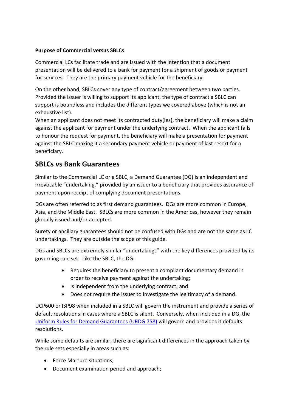## **Purpose of Commercial versus SBLCs**

Commercial LCs facilitate trade and are issued with the intention that a document presentation will be delivered to a bank for payment for a shipment of goods or payment for services. They are the primary payment vehicle for the beneficiary.

On the other hand, SBLCs cover any type of contract/agreement between two parties. Provided the issuer is willing to support its applicant, the type of contract a SBLC can support is boundless and includes the different types we covered above (which is not an exhaustive list).

When an applicant does not meet its contracted duty(ies), the beneficiary will make a claim against the applicant for payment under the underlying contract. When the applicant fails to honour the request for payment, the beneficiary will make a presentation for payment against the SBLC making it a secondary payment vehicle or payment of last resort for a beneficiary.

## **SBLCs vs Bank Guarantees**

Similar to the Commercial LC or a SBLC, a Demand Guarantee (DG) is an independent and irrevocable "undertaking," provided by an issuer to a beneficiary that provides assurance of payment upon receipt of complying document presentations.

DGs are often referred to as first demand guarantees. DGs are more common in Europe, Asia, and the Middle East. SBLCs are more common in the Americas, however they remain globally issued and/or accepted.

Surety or ancillary guarantees should not be confused with DGs and are not the same as LC undertakings. They are outside the scope of this guide.

DGs and SBLCs are extremely similar "undertakings" with the key differences provided by its governing rule set. Like the SBLC, the DG:

- Requires the beneficiary to present a compliant documentary demand in order to receive payment against the undertaking;
- Is independent from the underlying contract; and
- Does not require the issuer to investigate the legitimacy of a demand.

UCP600 or ISP98 when included in a SBLC will govern the instrument and provide a series of default resolutions in cases where a SBLC is silent. Conversely, when included in a DG, the [Uniform Rules for Demand Guarantees](https://icc.academy/urdg-758/?utm_source=Blog&utm_medium=PDF&utm_campaign=SBLC%20guide) (URDG 758) will govern and provides it defaults resolutions.

While some defaults are similar, there are significant differences in the approach taken by the rule sets especially in areas such as:

- Force Majeure situations;
- Document examination period and approach;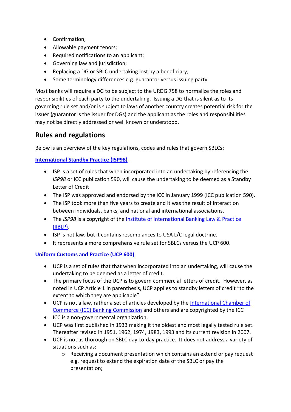- Confirmation;
- Allowable payment tenors;
- Required notifications to an applicant;
- Governing law and jurisdiction;
- Replacing a DG or SBLC undertaking lost by a beneficiary;
- Some terminology differences e.g. guarantor versus issuing party.

Most banks will require a DG to be subject to the URDG 758 to normalize the roles and responsibilities of each party to the undertaking. Issuing a DG that is silent as to its governing rule set and/or is subject to laws of another country creates potential risk for the issuer (guarantor is the issuer for DGs) and the applicant as the roles and responsibilities may not be directly addressed or well known or understood.

## **Rules and regulations**

Below is an overview of the key regulations, codes and rules that govern SBLCs:

**[International Standby Practice \(ISP98\)](https://icc.academy/isp98/?utm_source=Blog&utm_medium=PDF&utm_campaign=SBLC%20guide)**

- ISP is a set of rules that when incorporated into an undertaking by referencing the *ISP98* or ICC publication 590, will cause the undertaking to be deemed as a Standby Letter of Credit
- The ISP was approved and endorsed by the ICC in January 1999 (ICC publication 590).
- The ISP took more than five years to create and it was the result of interaction between individuals, banks, and national and international associations.
- The *ISP98* is a copyright of the [Institute of International Banking Law & Practice](https://iiblp.org/)  [\(IIBLP\).](https://iiblp.org/)
- ISP is not law, but it contains resemblances to USA L/C legal doctrine.
- It represents a more comprehensive rule set for SBLCs versus the UCP 600.

## **[Uniform Customs and Practice \(UCP](https://icc.academy/ucp-600/?utm_source=Blog&utm_medium=PDF&utm_campaign=SBLC%20guide) 600)**

- UCP is a set of rules that that when incorporated into an undertaking, will cause the undertaking to be deemed as a letter of credit.
- The primary focus of the UCP is to govern commercial letters of credit. However, as noted in UCP Article 1 in parenthesis, UCP applies to standby letters of credit "to the extent to which they are applicable".
- UCP is not a law, rather a set of articles developed by the [International Chamber of](https://iccwbo.org/global-issues-trends/banking-finance/)  [Commerce \(ICC\) Banking Commission](https://iccwbo.org/global-issues-trends/banking-finance/) and others and are copyrighted by the ICC
- ICC is a non-governmental organization.
- UCP was first published in 1933 making it the oldest and most legally tested rule set. Thereafter revised in 1951, 1962, 1974, 1983, 1993 and its current revision in 2007.
- UCP is not as thorough on SBLC day-to-day practice. It does not address a variety of situations such as:
	- o Receiving a document presentation which contains an extend or pay request e.g. request to extend the expiration date of the SBLC or pay the presentation;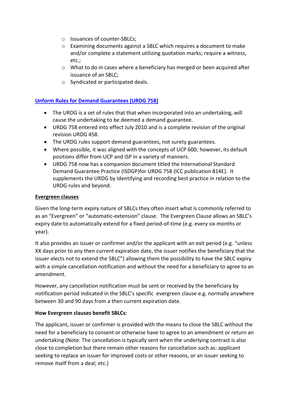- o Issuances of counter-SBLCs;
- o Examining documents against a SBLC which requires a document to make and/or complete a statement utilizing quotation marks; require a witness, etc.;
- o What to do in cases where a beneficiary has merged or been acquired after issuance of an SBLC;
- o Syndicated or participated deals.

## **[Unform Rules for Demand Guarantees \(URDG](https://icc.academy/urdg-758/?utm_source=Blog&utm_medium=PDF&utm_campaign=SBLC%20guide) 758)**

- The URDG is a set of rules that that when incorporated into an undertaking, will cause the undertaking to be deemed a demand guarantee.
- URDG 758 entered into effect July 2010 and is a complete revision of the original revision URDG 458.
- The URDG rules support demand guarantees, not surety guarantees.
- Where possible, it was aligned with the concepts of UCP 600; however, its default positions differ from UCP and ISP in a variety of manners.
- URDG 758 now has a companion document titled the International Standard Demand Guarantee Practice (ISDGP)for URDG 758 (ICC publication 814E). It supplements the URDG by identifying and recording best practice in relation to the URDG rules and beyond.

#### **Evergreen clauses**

Given the long-term expiry nature of SBLCs they often insert what is commonly referred to as an "Evergreen" or "automatic-extension" clause. The Evergreen Clause allows an SBLC's expiry date to automatically extend for a fixed period-of-time (e.g. every six months or year).

It also provides an issuer or confirmer and/or the applicant with an exit period (e.g. "unless XX days prior to any then current expiration date, the issuer notifies the beneficiary that the issuer elects not to extend the SBLC") allowing them the possibility to have the SBLC expiry with a simple cancellation notification and without the need for a beneficiary to agree to an amendment.

However, any cancellation notification must be sent or received by the beneficiary by notification period indicated in the SBLC's specific evergreen clause e.g. normally anywhere between 30 and 90 days from a then current expiration date.

### **How Evergreen clauses benefit SBLCs:**

The applicant, issuer or confirmer is provided with the means to close the SBLC without the need for a beneficiary to consent or otherwise have to agree to an amendment or return an undertaking (Note: The cancellation is typically sent when the underlying contract is also close to completion but there remain other reasons for cancellation such as: applicant seeking to replace an issuer for improved costs or other reasons, or an issuer seeking to remove itself from a deal; etc.)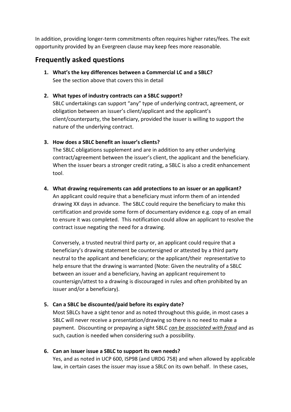In addition, providing longer-term commitments often requires higher rates/fees. The exit opportunity provided by an Evergreen clause may keep fees more reasonable.

## **Frequently asked questions**

**1. What's the key differences between a Commercial LC and a SBLC?** See the section above that covers this in detail

## **2. What types of industry contracts can a SBLC support?**

SBLC undertakings can support "any" type of underlying contract, agreement, or obligation between an issuer's client/applicant and the applicant's client/counterparty, the beneficiary, provided the issuer is willing to support the nature of the underlying contract.

### **3. How does a SBLC benefit an issuer's clients?**

The SBLC obligations supplement and are in addition to any other underlying contract/agreement between the issuer's client, the applicant and the beneficiary. When the issuer bears a stronger credit rating, a SBLC is also a credit enhancement tool.

### **4. What drawing requirements can add protections to an issuer or an applicant?**

An applicant could require that a beneficiary must inform them of an intended drawing XX days in advance. The SBLC could require the beneficiary to make this certification and provide some form of documentary evidence e.g. copy of an email to ensure it was completed. This notification could allow an applicant to resolve the contract issue negating the need for a drawing.

Conversely, a trusted neutral third party or, an applicant could require that a beneficiary's drawing statement be countersigned or attested by a third party neutral to the applicant and beneficiary; or the applicant/their representative to help ensure that the drawing is warranted (Note: Given the neutrality of a SBLC between an issuer and a beneficiary, having an applicant requirement to countersign/attest to a drawing is discouraged in rules and often prohibited by an issuer and/or a beneficiary).

## **5. Can a SBLC be discounted/paid before its expiry date?**

Most SBLCs have a sight tenor and as noted throughout this guide, in most cases a SBLC will never receive a presentation/drawing so there is no need to make a payment. Discounting or prepaying a sight SBLC *can be associated with fraud* and as such, caution is needed when considering such a possibility.

### **6. Can an issuer issue a SBLC to support its own needs?**

Yes, and as noted in UCP 600, ISP98 (and URDG 758) and when allowed by applicable law, in certain cases the issuer may issue a SBLC on its own behalf. In these cases,